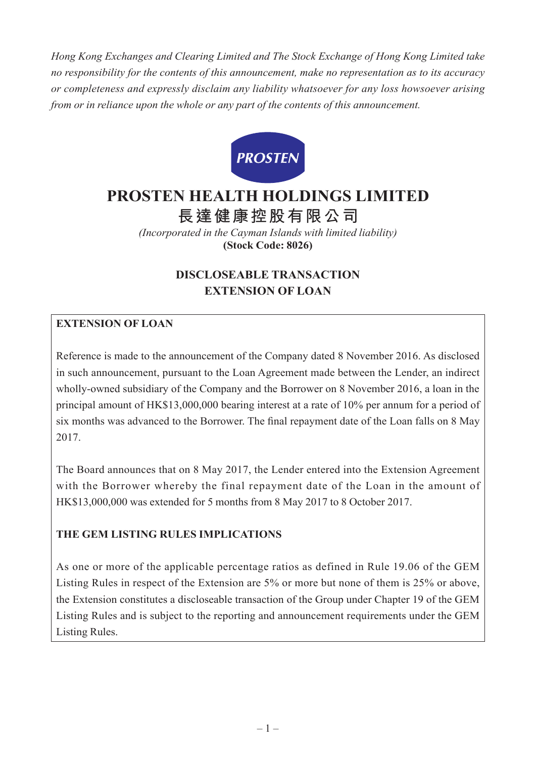*Hong Kong Exchanges and Clearing Limited and The Stock Exchange of Hong Kong Limited take no responsibility for the contents of this announcement, make no representation as to its accuracy or completeness and expressly disclaim any liability whatsoever for any loss howsoever arising from or in reliance upon the whole or any part of the contents of this announcement.*



# **PROSTEN HEALTH HOLDINGS LIMITED**

**長達健康控股有限公司**

*(Incorporated in the Cayman Islands with limited liability)* **(Stock Code: 8026)**

# **DISCLOSEABLE TRANSACTION EXTENSION OF LOAN**

## **EXTENSION OF LOAN**

Reference is made to the announcement of the Company dated 8 November 2016. As disclosed in such announcement, pursuant to the Loan Agreement made between the Lender, an indirect wholly-owned subsidiary of the Company and the Borrower on 8 November 2016, a loan in the principal amount of HK\$13,000,000 bearing interest at a rate of 10% per annum for a period of six months was advanced to the Borrower. The final repayment date of the Loan falls on 8 May 2017.

The Board announces that on 8 May 2017, the Lender entered into the Extension Agreement with the Borrower whereby the final repayment date of the Loan in the amount of HK\$13,000,000 was extended for 5 months from 8 May 2017 to 8 October 2017.

# **THE GEM LISTING RULES IMPLICATIONS**

As one or more of the applicable percentage ratios as defined in Rule 19.06 of the GEM Listing Rules in respect of the Extension are 5% or more but none of them is 25% or above, the Extension constitutes a discloseable transaction of the Group under Chapter 19 of the GEM Listing Rules and is subject to the reporting and announcement requirements under the GEM Listing Rules.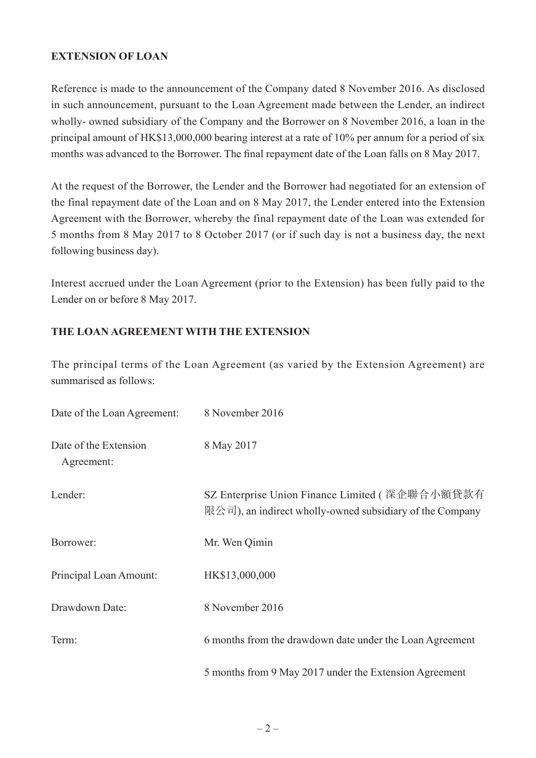## **EXTENSION OF LOAN**

Reference is made to the announcement of the Company dated 8 November 2016. As disclosed in such announcement, pursuant to the Loan Agreement made between the Lender, an indirect wholly- owned subsidiary of the Company and the Borrower on 8 November 2016, a loan in the principal amount of HK\$13,000,000 bearing interest at a rate of 10% per annum for a period of six months was advanced to the Borrower. The final repayment date of the Loan falls on 8 May 2017.

At the request of the Borrower, the Lender and the Borrower had negotiated for an extension of the final repayment date of the Loan and on 8 May 2017, the Lender entered into the Extension Agreement with the Borrower, whereby the final repayment date of the Loan was extended for 5 months from 8 May 2017 to 8 October 2017 (or if such day is not a business day, the next following business day).

Interest accrued under the Loan Agreement (prior to the Extension) has been fully paid to the Lender on or before 8 May 2017.

#### **THE LOAN AGREEMENT WITH THE EXTENSION**

The principal terms of the Loan Agreement (as varied by the Extension Agreement) are summarised as follows:

| Date of the Loan Agreement:         | 8 November 2016                                                                                            |
|-------------------------------------|------------------------------------------------------------------------------------------------------------|
| Date of the Extension<br>Agreement: | 8 May 2017                                                                                                 |
| Lender:                             | SZ Enterprise Union Finance Limited (深企聯合小額貸款有<br>限公司), an indirect wholly-owned subsidiary of the Company |
| Borrower:                           | Mr. Wen Qimin                                                                                              |
| Principal Loan Amount:              | HK\$13,000,000                                                                                             |
| Drawdown Date:                      | 8 November 2016                                                                                            |
| Term:                               | 6 months from the drawdown date under the Loan Agreement                                                   |
|                                     | 5 months from 9 May 2017 under the Extension Agreement                                                     |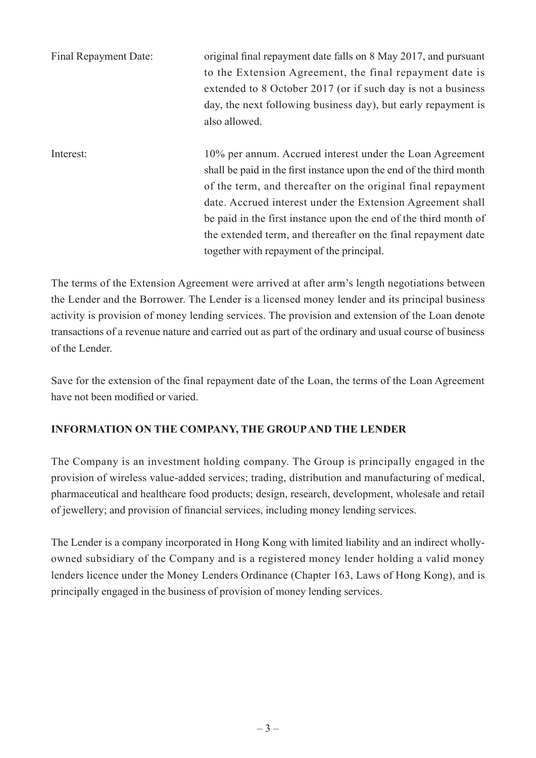| Final Repayment Date: | original final repayment date falls on 8 May 2017, and pursuant<br>to the Extension Agreement, the final repayment date is<br>extended to 8 October 2017 (or if such day is not a business<br>day, the next following business day), but early repayment is<br>also allowed.                                                                                                                                                                   |
|-----------------------|------------------------------------------------------------------------------------------------------------------------------------------------------------------------------------------------------------------------------------------------------------------------------------------------------------------------------------------------------------------------------------------------------------------------------------------------|
| Interest:             | 10% per annum. Accrued interest under the Loan Agreement<br>shall be paid in the first instance upon the end of the third month<br>of the term, and thereafter on the original final repayment<br>date. Accrued interest under the Extension Agreement shall<br>be paid in the first instance upon the end of the third month of<br>the extended term, and thereafter on the final repayment date<br>together with repayment of the principal. |

The terms of the Extension Agreement were arrived at after arm's length negotiations between the Lender and the Borrower. The Lender is a licensed money lender and its principal business activity is provision of money lending services. The provision and extension of the Loan denote transactions of a revenue nature and carried out as part of the ordinary and usual course of business of the Lender.

Save for the extension of the final repayment date of the Loan, the terms of the Loan Agreement have not been modified or varied.

## **INFORMATION ON THE COMPANY, THE GROUP AND THE LENDER**

The Company is an investment holding company. The Group is principally engaged in the provision of wireless value-added services; trading, distribution and manufacturing of medical, pharmaceutical and healthcare food products; design, research, development, wholesale and retail of jewellery; and provision of financial services, including money lending services.

The Lender is a company incorporated in Hong Kong with limited liability and an indirect whollyowned subsidiary of the Company and is a registered money lender holding a valid money lenders licence under the Money Lenders Ordinance (Chapter 163, Laws of Hong Kong), and is principally engaged in the business of provision of money lending services.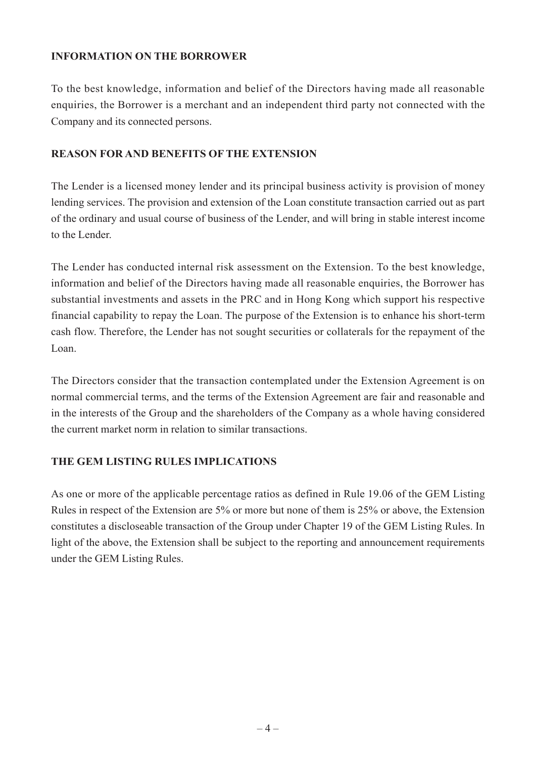## **INFORMATION ON THE BORROWER**

To the best knowledge, information and belief of the Directors having made all reasonable enquiries, the Borrower is a merchant and an independent third party not connected with the Company and its connected persons.

#### **REASON FOR AND BENEFITS OF THE EXTENSION**

The Lender is a licensed money lender and its principal business activity is provision of money lending services. The provision and extension of the Loan constitute transaction carried out as part of the ordinary and usual course of business of the Lender, and will bring in stable interest income to the Lender.

The Lender has conducted internal risk assessment on the Extension. To the best knowledge, information and belief of the Directors having made all reasonable enquiries, the Borrower has substantial investments and assets in the PRC and in Hong Kong which support his respective financial capability to repay the Loan. The purpose of the Extension is to enhance his short-term cash flow. Therefore, the Lender has not sought securities or collaterals for the repayment of the Loan.

The Directors consider that the transaction contemplated under the Extension Agreement is on normal commercial terms, and the terms of the Extension Agreement are fair and reasonable and in the interests of the Group and the shareholders of the Company as a whole having considered the current market norm in relation to similar transactions.

#### **THE GEM LISTING RULES IMPLICATIONS**

As one or more of the applicable percentage ratios as defined in Rule 19.06 of the GEM Listing Rules in respect of the Extension are 5% or more but none of them is 25% or above, the Extension constitutes a discloseable transaction of the Group under Chapter 19 of the GEM Listing Rules. In light of the above, the Extension shall be subject to the reporting and announcement requirements under the GEM Listing Rules.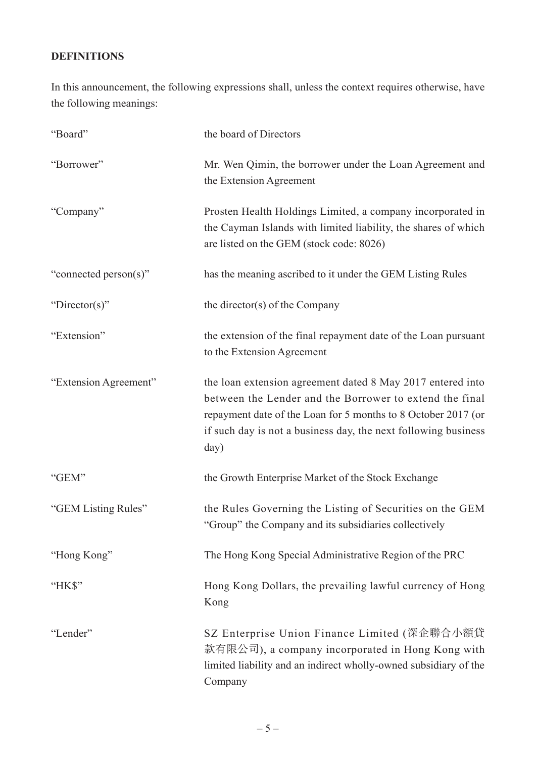## **DEFINITIONS**

In this announcement, the following expressions shall, unless the context requires otherwise, have the following meanings:

| "Board"               | the board of Directors                                                                                                                                                                                                                                           |
|-----------------------|------------------------------------------------------------------------------------------------------------------------------------------------------------------------------------------------------------------------------------------------------------------|
| "Borrower"            | Mr. Wen Qimin, the borrower under the Loan Agreement and<br>the Extension Agreement                                                                                                                                                                              |
| "Company"             | Prosten Health Holdings Limited, a company incorporated in<br>the Cayman Islands with limited liability, the shares of which<br>are listed on the GEM (stock code: 8026)                                                                                         |
| "connected person(s)" | has the meaning ascribed to it under the GEM Listing Rules                                                                                                                                                                                                       |
| "Director(s)"         | the director(s) of the Company                                                                                                                                                                                                                                   |
| "Extension"           | the extension of the final repayment date of the Loan pursuant<br>to the Extension Agreement                                                                                                                                                                     |
| "Extension Agreement" | the loan extension agreement dated 8 May 2017 entered into<br>between the Lender and the Borrower to extend the final<br>repayment date of the Loan for 5 months to 8 October 2017 (or<br>if such day is not a business day, the next following business<br>day) |
| "GEM"                 | the Growth Enterprise Market of the Stock Exchange                                                                                                                                                                                                               |
| "GEM Listing Rules"   | the Rules Governing the Listing of Securities on the GEM<br>"Group" the Company and its subsidiaries collectively                                                                                                                                                |
| "Hong Kong"           | The Hong Kong Special Administrative Region of the PRC                                                                                                                                                                                                           |
| "HK\$"                | Hong Kong Dollars, the prevailing lawful currency of Hong<br>Kong                                                                                                                                                                                                |
| "Lender"              | SZ Enterprise Union Finance Limited (深企聯合小額貸<br>款有限公司), a company incorporated in Hong Kong with<br>limited liability and an indirect wholly-owned subsidiary of the<br>Company                                                                                  |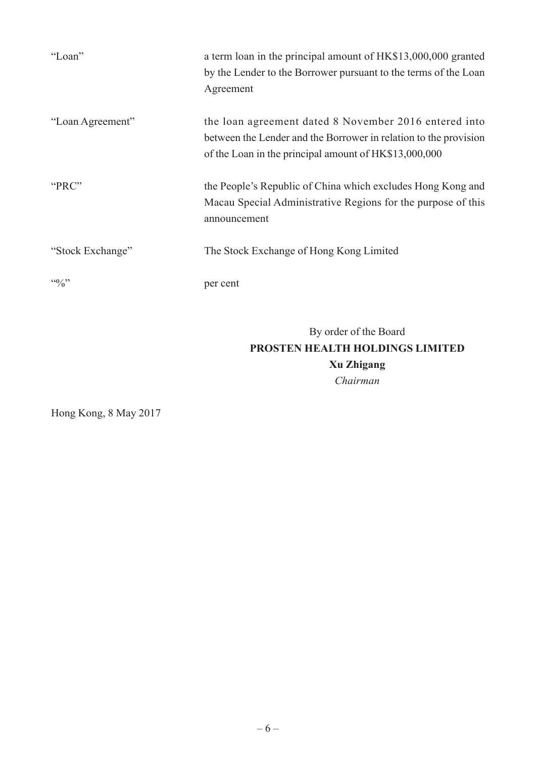| "Loan"           | a term loan in the principal amount of HK\$13,000,000 granted<br>by the Lender to the Borrower pursuant to the terms of the Loan<br>Agreement                                      |
|------------------|------------------------------------------------------------------------------------------------------------------------------------------------------------------------------------|
| "Loan Agreement" | the loan agreement dated 8 November 2016 entered into<br>between the Lender and the Borrower in relation to the provision<br>of the Loan in the principal amount of HK\$13,000,000 |
| "PRC"            | the People's Republic of China which excludes Hong Kong and<br>Macau Special Administrative Regions for the purpose of this<br>announcement                                        |
| "Stock Exchange" | The Stock Exchange of Hong Kong Limited                                                                                                                                            |
| 440/2            | per cent                                                                                                                                                                           |
|                  | By order of the Board<br>PROSTEN HEALTH HOLDINGS LIMITED                                                                                                                           |

**Xu Zhigang** *Chairman*

Hong Kong, 8 May 2017